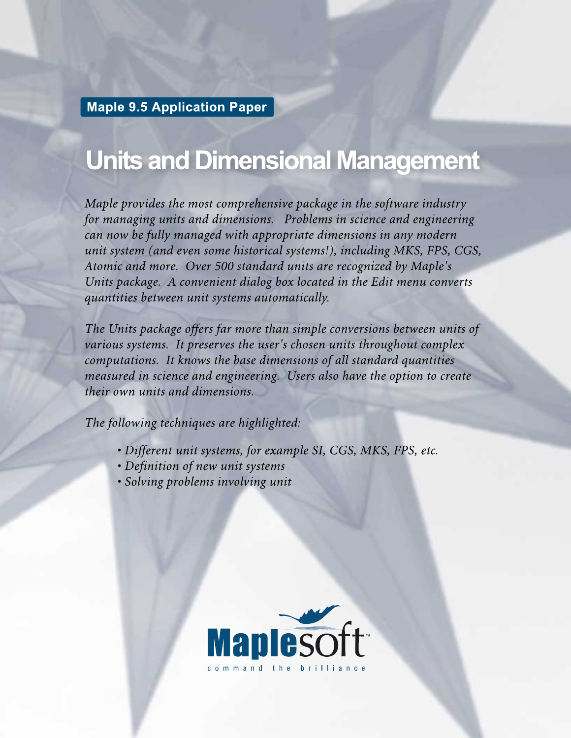**Maple 9.5 Application Paper**

## **Units and Dimensional Management**

*Maple provides the most comprehensive package in the software industry for managing units and dimensions. Problems in science and engineering can now be fully managed with appropriate dimensions in any modern unit system (and even some historical systems!), including MKS, FPS, CGS, Atomic and more. Over 500 standard units are recognized by Maple's Units package. A convenient dialog box located in the Edit menu converts quantities between unit systems automatically.*

*The Units package offers far more than simple conversions between units of various systems. It preserves the user's chosen units throughout complex computations. It knows the base dimensions of all standard quantities measured in science and engineering. Users also have the option to create their own units and dimensions.*

*The following techniques are highlighted:*

- *• Different unit systems, for example SI, CGS, MKS, FPS, etc.*
- *• Definition of new unit systems*
- *• Solving problems involving unit*

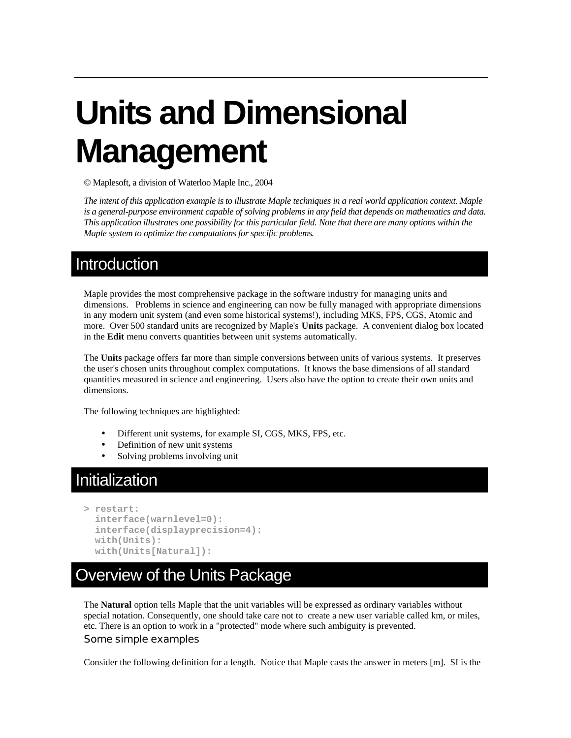# **Units and Dimensional Management**

© Maplesoft, a division of Waterloo Maple Inc., 2004

*The intent of this application example is to illustrate Maple techniques in a real world application context. Maple is a general-purpose environment capable of solving problems in any field that depends on mathematics and data. This application illustrates one possibility for this particular field. Note that there are many options within the Maple system to optimize the computations for specific problems.* 

### Introduction

Maple provides the most comprehensive package in the software industry for managing units and dimensions. Problems in science and engineering can now be fully managed with appropriate dimensions in any modern unit system (and even some historical systems!), including MKS, FPS, CGS, Atomic and more. Over 500 standard units are recognized by Maple's **Units** package. A convenient dialog box located in the **Edit** menu converts quantities between unit systems automatically.

The **Units** package offers far more than simple conversions between units of various systems. It preserves the user's chosen units throughout complex computations. It knows the base dimensions of all standard quantities measured in science and engineering. Users also have the option to create their own units and dimensions.

The following techniques are highlighted:

- Different unit systems, for example SI, CGS, MKS, FPS, etc.
- Definition of new unit systems
- Solving problems involving unit

## Initialization

```
> restart: 
   interface(warnlevel=0): 
   interface(displayprecision=4): 
   with(Units): 
   with(Units[Natural]):
```
## Overview of the Units Package

The **Natural** option tells Maple that the unit variables will be expressed as ordinary variables without special notation. Consequently, one should take care not to create a new user variable called km, or miles, etc. There is an option to work in a "protected" mode where such ambiguity is prevented.

#### Some simple examples

Consider the following definition for a length. Notice that Maple casts the answer in meters [m]. SI is the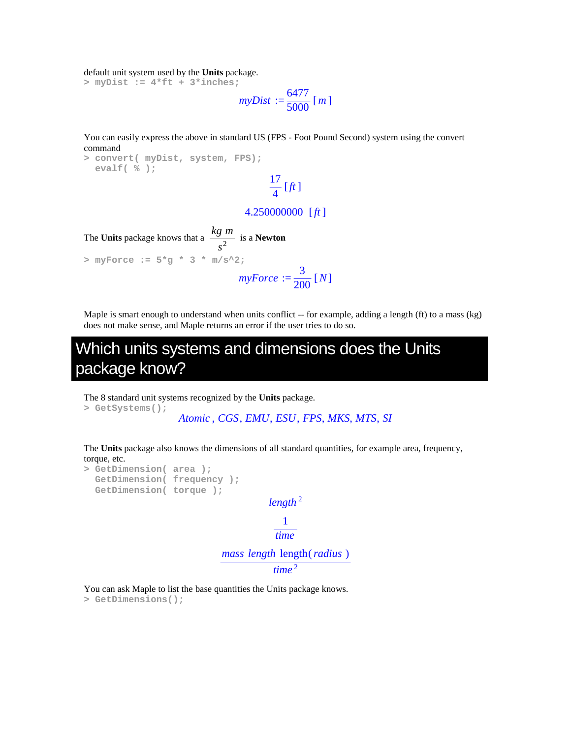default unit system used by the **Units** package.

**> myDist := 4\*ft + 3\*inches;** 

 $myDist :=$ 6477  $\frac{6!}{5000}$  [*m*]

You can easily express the above in standard US (FPS - Foot Pound Second) system using the convert command

17

**> convert( myDist, system, FPS); evalf( % );** 

## $\frac{1}{4}$  [*ft*]

#### 4.250000000 [*ft* ]

The Units package knows that a 
$$
\frac{kg \ m}{s^2}
$$
 is a Newton  
> myForce :=  $5 \times g \times 3 \times m/s \times 2$ ;  

$$
myForce := \frac{3}{200} [N]
$$

Maple is smart enough to understand when units conflict -- for example, adding a length (ft) to a mass (kg) does not make sense, and Maple returns an error if the user tries to do so.

## Which units systems and dimensions does the Units package know?

The 8 standard unit systems recognized by the **Units** package.

**> GetSystems();** 

```
Atomic , CGS, EMU, ESU, FPS, MKS, MTS, SI
```
The **Units** package also knows the dimensions of all standard quantities, for example area, frequency, torque, etc.

```
> GetDimension( area ); 
   GetDimension( frequency ); 
   GetDimension( torque ); 
                                      length 2
                                         1
                                        time
                            mass length length(radius )
                                       time 2
```
You can ask Maple to list the base quantities the Units package knows. **> GetDimensions();**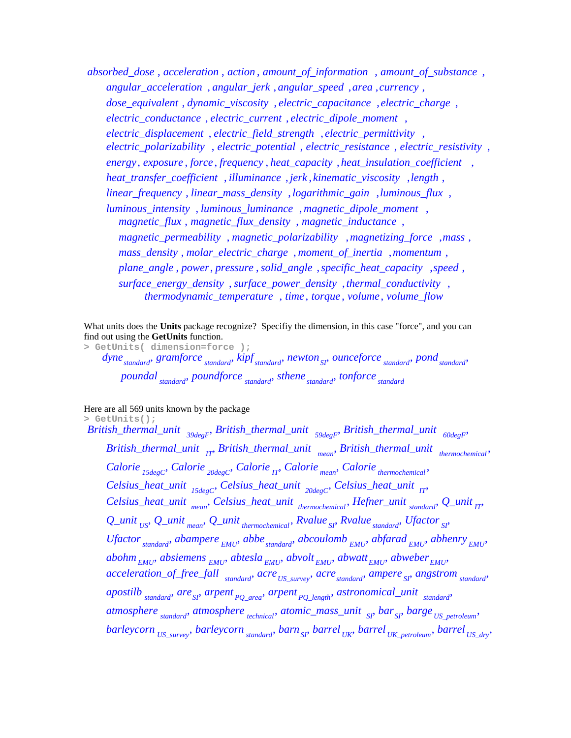*absorbed\_dose* , *acceleration* , *action* , *amount\_of\_information* , *amount\_of\_substance* , *angular\_acceleration* , *angular\_jerk* , *angular\_speed* ,*area* , , *currency dose\_equivalent* , *dynamic\_viscosity* , *electric\_capacitance* , , *electric\_charge electric\_conductance* , *electric\_current* , , *electric\_dipole\_moment electric\_displacement* , *electric\_field\_strength* , , *electric\_permittivity electric\_polarizability* , *electric\_potential* , *electric\_resistance* , *electric\_resistivity* , *energy*, *exposure* , *force* , *frequency* , *heat\_capacity* , , *heat\_insulation\_coefficient heat\_transfer\_coefficient* , *illuminance* , *jerk* , *kinematic\_viscosity* , , *length linear\_frequency* , *linear\_mass\_density* ,*logarithmic\_gain* , , *luminous\_flux luminous\_intensity* , *luminous\_luminance* , , *magnetic\_dipole\_moment magnetic\_flux* , *magnetic\_flux\_density* , *magnetic\_inductance* , *magnetic\_permeability* , *magnetic\_polarizability* ,*magnetizing\_force* , , *mass mass\_density* , *molar\_electric\_charge* , *moment\_of\_inertia* , , *momentum plane\_angle* , *power*, *pressure* ,*solid\_angle* ,*specific\_heat\_capacity* , , *speed surface\_energy\_density* , *surface\_power\_density* , , *thermal\_conductivity thermodynamic\_temperature* , *time* , *torque* , *volume* , *volume\_flow*

What units does the **Units** package recognize? Specifiy the dimension, in this case "force", and you can find out using the **GetUnits** function.

**> GetUnits( dimension=force );** 

*dyne*<sub>standard</sub>, gramforce<sub>standard</sub>, kipf<sub>standard</sub>, newton<sub>SI</sub>, ounceforce<sub>standard</sub>, pond<sub>standard</sub>, *poundal standard*, *poundforce standard*, *sthene standard*, *tonforce standard* 

Here are all 569 units known by the package

**> GetUnits();**  *British\_thermal\_unit 39degF British\_thermal\_unit 59degF British\_thermal\_unit 60degF* , , , *British\_thermal\_unit IT British\_thermal\_unit mean British\_thermal\_unit thermochemical* , , , *Calorie 15degC Calorie 20degC Calorie IT Calorie mean Calorie thermochemical* , , , , , *Celsius\_heat\_unit 15degC Celsius\_heat\_unit 20degC Celsius\_heat\_unit IT* , , , *Celsius\_heat\_unit mean Celsius\_heat\_unit thermochemical Hefner\_unit standard Q\_unit IT* , , , , *Q\_unit US Q\_unit mean Q\_unit thermochemical Rvalue SI Rvalue standard Ufactor SI* , , , , , , *Ufactor*<sub>standard</sub>, *abampere EMU*, *abbe*<sub>standard</sub>, *abcoulomb EMU*, *abfarad EMU*, *abhenry EMU*,  $a$ bohm<sub>FMU</sub>, absiemens  $_{EMU}$ , abtesla<sub>  $_{EMU}$ </sub>, abvolt<sub> $_{EMU}$ </sub>, abwatt<sub>FMU</sub>, abweber<sub>FMU</sub>, *acceleration\_of\_free\_fall*  $\frac{1}{\text{standard}}$  *acre*<sub>*US\_survey*</sub>, *acre*<sub>*standard*</sub> *ampere*<sub>*SI*</sub> *angstrom*<sub>*standard*</sub>  $a$ *postilb*  $\frac{1}{\text{standard}}$ ,  $\frac{1}{\text{area}}$  *are*  $\frac{1}{\text{area}}$  *pQ\_area*,  $\frac{1}{\text{area}}$  *arpent***<sub>pQ\_length</sub>**,  $\frac{1}{\text{standard}}$  ,  $\frac{1}{\text{standard}}$ *atmosphere standard*, *atmosphere technical*, *atomic\_mass\_unit SP bar*<sub>*SP*</sub> *barge US petroleum*, *barleycorn US\_survey barleycorn standard barnSI barrel UK barrel UK\_petroleum barrel US\_dry* , , , , , ,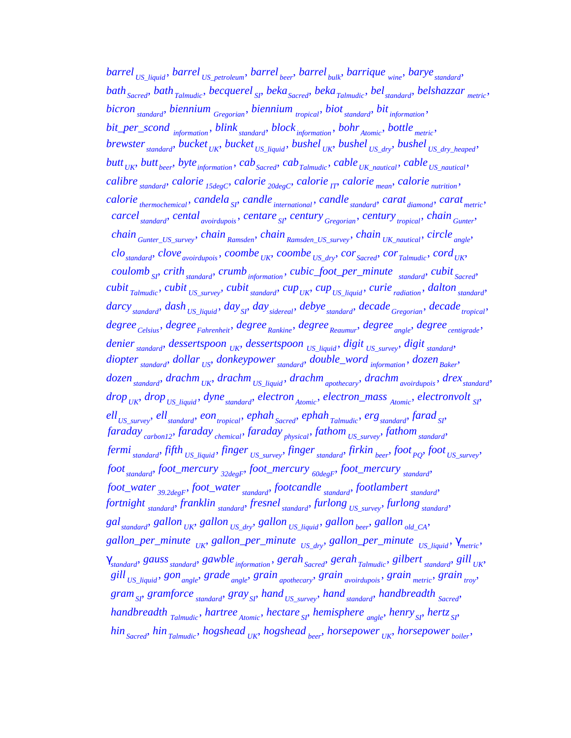*barrel US\_liquid barrel US\_petroleum barrel beer barrel bulk barrique wine baryestandard* , , , , , , *bathSacred bath Talmudic becquerel SI bekaSacred bekaTalmudic belstandard belshazzar metric* , , , , , , , *bicron standard biennium Gregorian*, *biennium tropical biot standard bit information bit\_per\_scond*  $_{information}$ ,  $blind_{standard}$ ,  $block_{information}$ ,  $bohr_{Atomic}$ ,  $bohr_{Atomic}$ ,  $bottle_{metric}$ , *brewster* <sub>*standard*</sub>, *bucket*  $U_K$ , *bucket*  $U_S$  *Liquid*, *bushel*  $U_K$ , *bushel*  $U_S$  *Ldry*, *bushel*  $U_S$  *Ldry heaped butt*  $_{UK}$  *butt*  $_{beer}$ , *byte*  $_{information}$ , *cab*<sub>*Sacred*</sub>, *cab*<sub>*Talmudic*</sub>, *cable*<sub>*UK\_nautical*</sub>, *cable*<sub>*US\_nautical*</sub> *calibre standard calorie 15degC calorie 20degC calorie IT calorie mean calorie nutrition* , , , , , , *calorie*  $_{thermochemical}$ , *candela*  $_{SI}$ , *candle*  $_{intermational}$ , *candle*  $_{standard}$ , *carat*  $_{diamond}$ , *carat*  $_{metric}$ , *carcel<sub>standard</sub>, cental<sub>avoirdupois</sub>, centare SI*<sup></sup> *century Gregorian*, *century tropical*, *chain Gunter*<sup></sup>, *chain Gunter\_US\_survey chain Ramsden*, *chain Ramsden\_US\_survey chain UK\_nautical circle angle*<sup></sup> *clostandard cloveavoirdupois coombe UK coombe US\_dry corSacred corTalmudic cordUK* , , , , , , , *coulomb SI*<sup></sup> *crith*<sub>*standard*</sub> *crumb*<sub>*information*</sub>, *cubic\_foot\_per\_minute standard*, *cubit Sacred cubit*  $_{Talmudic}$ ,  $cubit$   $_{US\_survey}$ ,  $cubit$   $_{standard}$ ,  $cup_{UK}$ ,  $cup_{US\_liquid}$ ,  $curie$   $_{radiation}$ , dalton  $_{standard}$ *darcy*<sub>standard</sub>, *dash*  $_{US\_liquid}$ , *day*<sub>SI</sub>, *day*<sub>sidereal</sub>, *debye*<sub>standard</sub>, *decade*<sub>*Gregorian*</sub>, *decade*<sub>tropical</sub>, *degree*<sub>*Celsius*</sub>, *degree*<sub>*Fahrenheit*</sub>, *degree*<sub>*Rankine*</sub>, *degree<sub>Reaumur</sub>*, *degree<sub>angle</sub>*, *degree<sub>centigrade*</sub>, *denier*<sub>standard</sub>, *dessertspoon UK*, *dessertspoon US\_liquid*, *digit US\_survey*, *digit* <sub>standard</sub>, *diopter*<sub>standard</sub>, *dollar US*, *donkeypower*<sub>*standard*</sub>, *double\_word information*, *dozen Baker*, *dozen*<sub>standard</sub>, *drachm*<sub>*UK*</sub>, *drachm*<sub>*US\_liquid*</sub>, *drachm*<sub>*apothecary*</sub>, *drachm*<sub>*avoirdupois*</sub>, *drex*<sub>standard</sub>, *drop UK*, *drop US\_liquid*</sub> *dyne*<sub>*standard*</sub> *electron*<sub>*Atomic*</sub>, *electron\_mass Atomic*, *electronvolt SI*<sup></sup> *ellUS\_survey ellstandard eontropical ephahSacred ephah Talmudic ergstandard farad SI* , , , , , , , *faraday carbon12 faraday chemical faraday physical fathom US\_survey fathom standard* , , , , , *fermi standard fifth US\_liquid finger US\_survey fingerstandard firkin beer footPQ foot US\_survey* , , , , , , , *footstandard foot\_mercury 32degF foot\_mercury 60degF foot\_mercury standard* , , , , *foot\_water 39.2degF foot\_waterstandard footcandle standard footlambert standard* , , , , *fortnight standard franklin standard fresnel standard furlong*  $_{US\_survey}$  *furlong standard galstandard gallon UK gallon US\_dry gallon US\_liquid gallon beer gallon old\_CA* , , , , , , gallon\_per\_minute<sub>*UK*</sub>, gallon\_per\_minute<sub>*US\_dry*</sub>, gallon\_per\_minute<sub>US\_liquid</sub>,  $γ_{metric}$ , γ *standard gaussstandard gawbleinformation gerahSacred gerah Talmudic gilbert standard gill UK* , , , , , , , *gill US\_liquid gonangle grade angle grain apothecary grain avoirdupois grain metric grain troy* , , , , , , , *gramSI gramforce standard graySI hand US\_survey handstandard handbreadth Sacred* , , , , , , *handbreadth*  $T_{\text{almudic}}$ , *hartree*  $_{\text{Atomic}}$ , *hectare*  $_{\text{SP}}$  *hemisphere*  $_{\text{angle}}$ , *henry*  $_{\text{SP}}$ , *hertz*  $_{\text{SP}}$ *hin*<sub>Sacred</sub>, hin<sub>Talmudic</sub>, hogshead<sub>UK</sub>, hogshead<sub>beer</sub>, horsepower<sub>UK</sub>, horsepower<sub>boiler</sub>,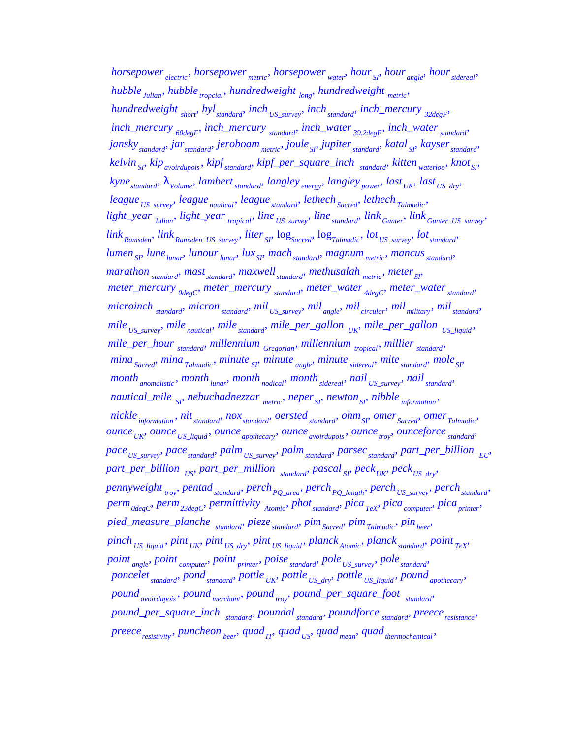*horsepower electric horsepower metric horsepower water hour SI hour angle hoursidereal* , , , , , , *hubble Julian*, *hubble tropcial*, *hundredweight*  $_{long}$ , *hundredweight*  $_{metric}$ , *hundredweight short*, *hyl<sub>standard*</sub>, *inch US\_survey*, *inch standard inch\_mercury*  $_{32degF}$ *inch\_mercury*  $_{60degF}$ , *inch\_mercury*  $_{standard}$ , *inch\_water*  $_{39.2degF}$ , *inch\_water*  $_{standard}$ , *janskystandard jarstandard jeroboam metric jouleSI jupiterstandard katal SI kayserstandard* , , , , , , , *kelvin SI kipavoirdupois kipfstandard kipf\_per\_square\_inch standard kitten waterloo knotSI* , , , , , , *kynestandard* λ*Volume lambert standard langley energy langley power last UK last US\_dry* , , , , , , , *league*  $_{US\_survey}$ , *league*  $_{natural}$ , *league*  $_{standard}$ , *lethech*  $_{Sacred}$ , *lethech*  $_{Talmudic}$ *light\_year Julian light\_year tropical line US\_survey line standard link Gunter link Gunter\_US\_survey* , , , , , , *link*  $_{Ramsden}$ ,  $link_{Ramsden\_US\_survey}$ ,  $liter_{S1}$ ,  $log_{Sacred}$ ,  $log_{Talmudic}$ ,  $lot_{US\_survey}$ ,  $lot_{standard}$ *lumen*<sub>SI</sub>, *lune*<sub>*lunar*</sub>, *lunour*<sub>*lunar*</sub>, *lux*<sub>SI</sub>, *mach*<sub>*standard*</sub>, *magnum*<sub>*metric*</sub>, *mancus*<sub>*standard*</sub> *marathon standard mast standard maxwell standard methusalah metric meter SP meter\_mercury*  $_{0degC}$  *meter\_mercury*  $_{standard}$ *, meter\_water*  $_{4degC}$ *, meter\_water*  $_{standard}$ *, microinch standard micron standard mil US\_survey mil angle mil circular mil military , mil standard mile*  $_{US\_survey}$ , mile<sub> nautical</sub>, mile<sub>standard</sub>, mile\_per\_gallon  $_{UK}$ , mile\_per\_gallon  $_{US\_liquid}$ , *mile\_per\_hour*  $\frac{1}{\text{standard}}$  *millennium*  $\frac{1}{\text{Gregorian}}$ , *millennium*  $\frac{1}{\text{topical}}$ , *millier*  $\frac{1}{\text{standard}}$ *mina Sacred*, *mina Talmudic*, *minute SI*, *minute angle*, *minute sidereal*, *mite standard*, *mole SI month* <sub>anomalistic</sub>, month <sub>*lunar*</sub>, month <sub>nodical</sub>, month sidereal</sub>, nail<sub>US\_survey</sub>, nail<sub>standard</sub>, *nautical\_mile SI*<sup>*s*</sup> *nebuchadnezzar metric*, *neper SI*<sup>*b*</sup> *newton*<sub>*SI</sub>*<sup>*nibble information*</sub></sub></sup> *nickle information*, *nit*<sub>*standard*</sub>, *nox*<sub>*standard*</sub>, *oersted standard*, *ohm*<sub>SI</sub>, *omer*<sub>Sacred</sub>, *omer*<sub>Talmudic</sub>, *ounce*  $_{UK}$  *ounce*  $_{US\_liquid}$  *ounce*  $_{apothecary}$  *ounce*  $_{avoidupois}$  *ounce*  $_{troy}$  *ounceforce*  $_{standard}$ *pace*<sub>*US\_survey*</sub>, *pace*<sub>*standard*</sub>, *palm*<sub>*US\_survey*</sub>, *palm*<sub>*standard*</sub>, *parsec<sub><i>standard*</sub>, *part\_per\_billion*<sub>EU</sub>,  $part\_per\_billion$   $_{US}$ , part\_per\_million  $_{standard}$ , pascal<sub>SI</sub>, peck<sub>*UK*</sub>, peck<sub>*US\_dry*</sub>, *pennyweight troy pentad standard perchPQ\_area perchPQ\_length perchUS\_survey perchstandard* , , , , , , *perm0degC perm23degC permittivity Atomic photstandard pica TeX pica computer picaprinter* , , , , , , , *pied\_measure\_planche standard pieze standard pimSacred pimTalmudic pinbeer* , , , , , *pinch US\_liquid pint UK pint US\_dry pint US\_liquid planck Atomic planck standard point TeX* , , , , , , , *point angle point computer point printer poise standard poleUS\_survey polestandard* , , , , , , *poncelet standard pond standard pottle UK pottle US\_dry pottle US\_liquid pound apothecary* , *pound avoirdupois pound merchant pound troy pound\_per\_square\_foot standard* , , , , *pound\_per\_square\_inch standard*, *poundal standard*, *poundforce standard*, *preece*<sub>*resistance*</sub>, *preeceresistivity puncheon beer quadIT quad US quad mean quadthermochemical* , , , , , ,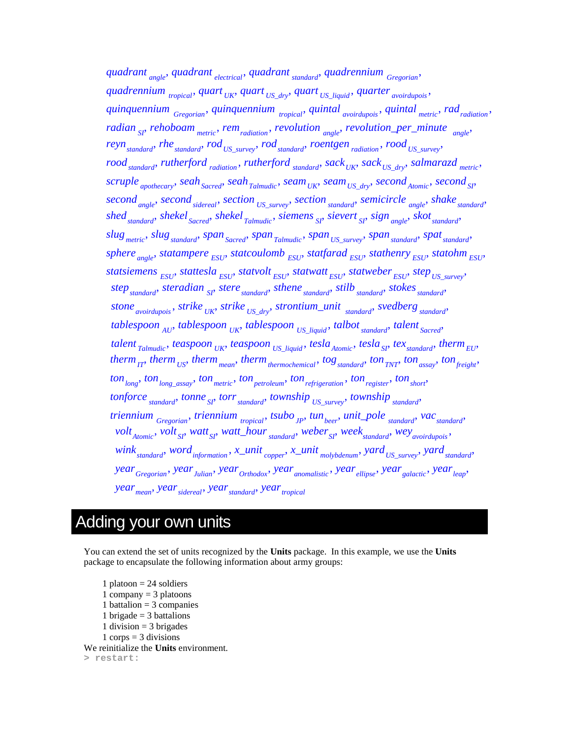*quadrant angle quadrant electrical quadrant standard quadrennium Gregorian* , , , , *quadrennium*  $_{tropical}$ , *quart*  $_{UK}$ , *quart*  $_{US\_dry}$ , *quart*  $_{US\_liquid}$ , *quarter*  $_{avoidupois}$ , *quinquennium Gregorian quinquennium tropical quintal avoirdupois quintal metric radradiation* , , , , , *radian SI*, *rehoboam metric*, *rem radiation*, *revolution angle*, *revolution\_per\_minute*  $_{angle}$ *reyn*<sub>standard</sub>, rhe<sub>standard</sub>, rod<sub>US\_survey</sub>, rod<sub>standard</sub>, roentgen<sub>radiation</sub>, rood<sub>US\_survey</sub>,  $\text{mod}_{\text{standard}}$  *rutherford*  $\text{radiation}$ ,  $\text{rutherford}_{\text{standard}}$   $\text{sack}_{UK}$ ,  $\text{sack}_{US\_dry}$ ,  $\text{salmarazd}_{\text{metric}}$ , *scruple apothecary seahSacred seahTalmudic seamUK seamUS\_dry second Atomic secondSI* , , , , , , , *secondangle secondsidereal section US\_survey section standard semicircle angle shakestandard* , , , , , , *shedstandard shekel Sacred shekel Talmudic siemens SI sievert SI sign angle skotstandard* , , , , , , , *slug metric slugstandard spanSacred span Talmudic span US\_survey spanstandard spatstandard* , , , , , , , *sphere* <sub>*angle</sub>*, *statampere*  $_{ESU}$ , *statcoulomb*  $_{ESU}$ , *statfarad*  $_{ESU}$ , *stathenry*  $_{ESU}$ , *statohm*  $_{ESU}$ </sub> *statsiemens*  $_{ESU}$ , *stattesla*  $_{ESU}$ , *statvolt*  $_{ESU}$ , *statwatt*  $_{ESU}$ , *statweber*  $_{ESU}$ , *step*  $_{US\_survey}$ , *step*<sub>standard</sub>, *steradian SI stere standard*, *sthene standard*, *stilb standard*, *stokes standard stone* <sub>*avoirdupois*</sub>, *strike UK*, *strike US\_dry*, *strontium\_unit standard*, *svedberg standard tablespoon*  $_{AU}$ , *tablespoon*  $_{UK}$ , *tablespoon*  $_{US\_liquid}$ , *talbot*  $_{standard}$ , *talent*  $_{Sacred}$ , *talent*  $_{Talmudic}$ , *teaspoon*  $_{UK}$ , *teaspoon*  $_{US\_liquid}$ , *tesla*<sub>*Atomic*</sub>, *tesla*<sub>*SI*</sub>, *tex<sub>standard*</sub>, *therm*<sub>*EU*</sub>,  $then$   $H_{IT}$   $then$   $_{US}$   $then$   $_{mean}$ ,  $then$   $_{thermochemical}$ ,  $tog$   $_{standard}$ ,  $ton$   $_{TNT}$ ,  $ton$   $_{assay}$ ,  $ton$   $_{freight}$ ,  $ton_{long}$  *ton*<sub>*long\_assay*,  $ton_{metric}$ ,  $ton_{petroleum}$ ,  $ton_{refrigeration}$ ,  $ton_{register}$ ,  $ton_{short}$ ,</sub> *tonforce standard*, *tonne SI torr standard*, *township US\_survey*, *township standard triennium Gregorian*, *triennium tropical*, *tsubo JP*, *tun beer*, *unit\_pole standard*, *vac standard volt*<sub>Atomic</sub>, *volt*<sub>SI</sub>, *watt*<sub>SI</sub>, *watt\_hour*<sub>standard</sub>, *weber*<sub>SI</sub>, *week*<sub>standard</sub>, *wey*<sub>avoirdupois</sub>, *wink*<sub>standard</sub>, word<sub>information</sub>, x\_unit<sub>copper</sub>, x\_unit<sub>molybdenum</sub>, yard<sub>US\_survey</sub>, yard<sub>standard</sub>, *yearGregorian yearJulian yearOrthodox yearanomalistic yearellipse yeargalactic yearleap* , , , , , , , *year mean yearsidereal yearstandard yeartropical* , , ,

## Adding your own units

You can extend the set of units recognized by the **Units** package. In this example, we use the **Units**  package to encapsulate the following information about army groups:

1 platoon  $= 24$  soldiers 1 company  $=$  3 platoons 1 battalion  $=$  3 companies 1 brigade  $=$  3 battalions 1 division  $=$  3 brigades  $1$  corps = 3 divisions We reinitialize the **Units** environment. **> restart:**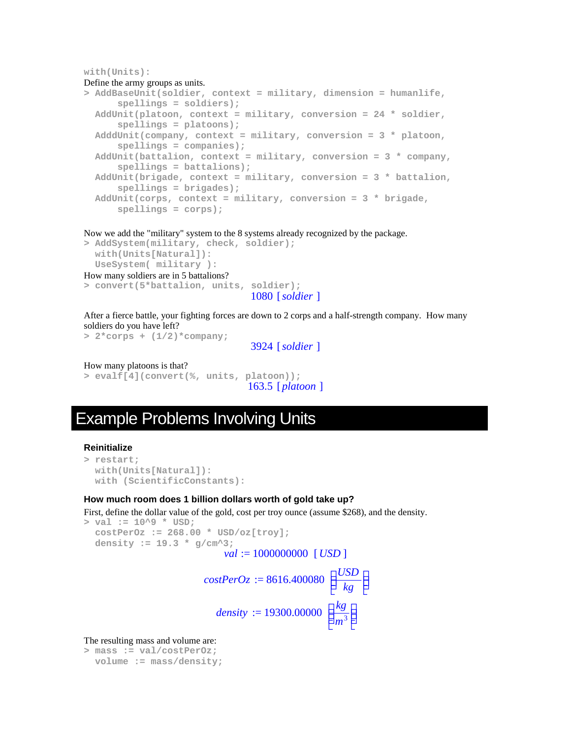#### **with(Units):**

#### Define the army groups as units.

```
> AddBaseUnit(soldier, context = military, dimension = humanlife, 
      spellings = soldiers); 
  AddUnit(platoon, context = military, conversion = 24 * soldier, 
      spellings = platoons); 
  AdddUnit(company, context = military, conversion = 3 * platoon, 
      spellings = companies); 
  AddUnit(battalion, context = military, conversion = 3 * company, 
      spellings = battalions); 
  AddUnit(brigade, context = military, conversion = 3 * battalion, 
      spellings = brigades); 
  AddUnit(corps, context = military, conversion = 3 * brigade, 
      spellings = corps);
```
Now we add the "military" system to the 8 systems already recognized by the package.

```
> AddSystem(military, check, soldier); 
   with(Units[Natural]): 
   UseSystem( military ): 
How many soldiers are in 5 battalions? 
> convert(5*battalion, units, soldier);
```
1080 [*soldier* ]

After a fierce battle, your fighting forces are down to 2 corps and a half-strength company. How many soldiers do you have left?

```
> 2*corps + (1/2)*company;
```
3924 [*soldier* ]

```
How many platoons is that? 
> evalf[4](convert(%, units, platoon)); 
                                   163.5 [ platoon ]
```
## Example Problems Involving Units

#### **Reinitialize**

```
> restart; 
   with(Units[Natural]): 
   with (ScientificConstants):
```
#### **How much room does 1 billion dollars worth of gold take up?**

First, define the dollar value of the gold, cost per troy ounce (assume \$268), and the density.

```
> val := 10^9 * USD; 
    costPerOz := 268.00 * USD/oz[troy]; 
    density := 19.3 * g/cm^3; 
                                                  val := 1000000000 [USD ]
                                           costPerOz := 8616.400080L
                                                                                         \overline{\phantom{a}}\overline{\phantom{a}}\overline{\phantom{a}}\overline{\phantom{a}}USD
                                                                                              kg
                                                density := 19300.00000L
                                                                                        \overline{\phantom{a}}\overline{\phantom{a}}J
                                                                                                \overline{\phantom{a}}kg
                                                                                           m
3
```
The resulting mass and volume are:

```
> mass := val/costPerOz; 
  volume := mass/density;
```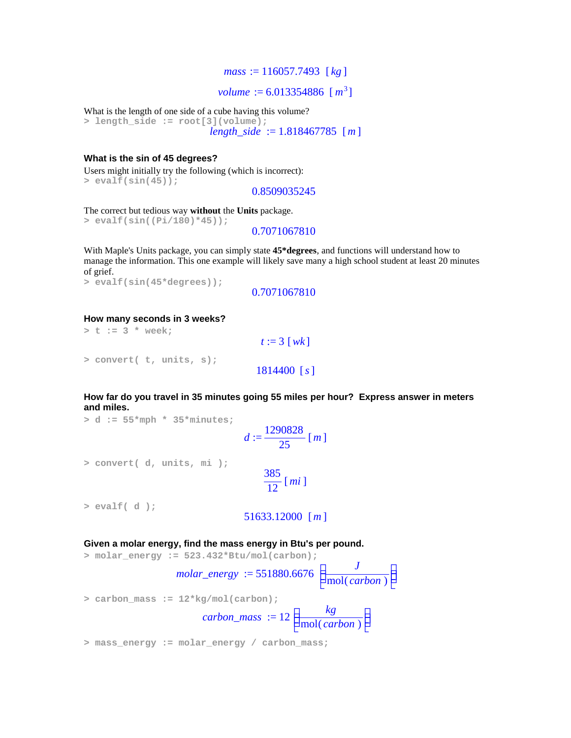#### *mass* := 116057.7493 [ *kg* ]

*volume* :=  $6.013354886$  [ $m^3$ ]

What is the length of one side of a cube having this volume?

**> length\_side := root[3](volume);**  *length\_side* := 1.818467785 [*m* ]

#### **What is the sin of 45 degrees?**

Users might initially try the following (which is incorrect): **> evalf(sin(45));** 

0.8509035245

The correct but tedious way **without** the **Units** package.

```
> evalf(sin((Pi/180)*45));
```
0.7071067810

With Maple's Units package, you can simply state **45\*degrees**, and functions will understand how to manage the information. This one example will likely save many a high school student at least 20 minutes of grief.

```
> evalf(sin(45*degrees));
```

```
0.7071067810
```
#### **How many seconds in 3 weeks?**

**> t := 3 \* week;**   $t := 3$  [*wk*] **> convert( t, units, s);**  1814400 [*s*]

**How far do you travel in 35 minutes going 55 miles per hour? Express answer in meters and miles.** 

**> d := 55\*mph \* 35\*minutes;** 

$$
d:=\frac{1290828}{25}\,[m]
$$

**> convert( d, units, mi );** 

$$
\frac{385}{12} [mi]
$$

**> evalf( d );** 

#### 51633.12000 [*m* ]

**Given a molar energy, find the mass energy in Btu's per pound.** 

**> molar\_energy := 523.432\*Btu/mol(carbon);**   $molar\_energy := 551880.6676$ L  $\overline{\phantom{a}}$  $\overline{\phantom{a}}$ J I *J* mol(*carbon*) **> carbon\_mass := 12\*kg/mol(carbon);**   $carbon\_mass := 12$ L I I J I *kg* mol(*carbon*)

**> mass\_energy := molar\_energy / carbon\_mass;**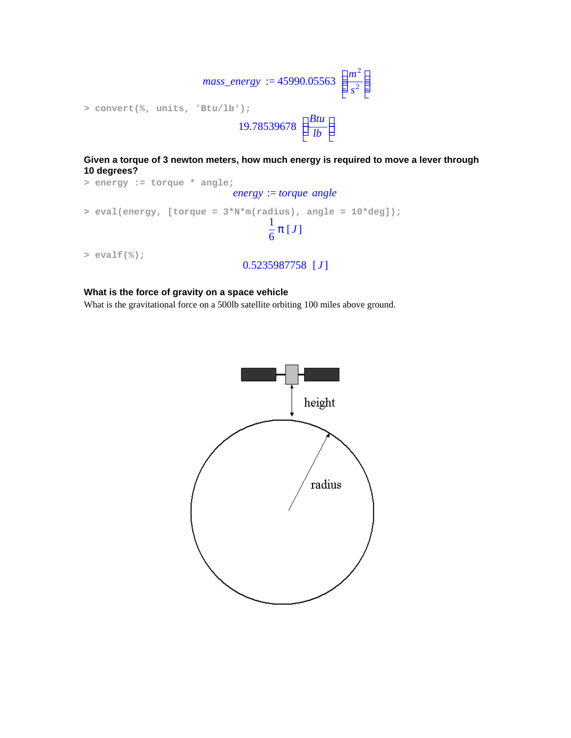

**Given a torque of 3 newton meters, how much energy is required to move a lever through 10 degrees?** 

```
> energy := torque * angle; 
                               energy := torque angle
> eval(energy, [torque = 3*N*m(radius), angle = 10*deg]); 
                                       1
                                       \frac{1}{6} \pi [J]
> evalf(%); 
                                 0.5235987758 [ J ]
```
### **What is the force of gravity on a space vehicle**

What is the gravitational force on a 500lb satellite orbiting 100 miles above ground.

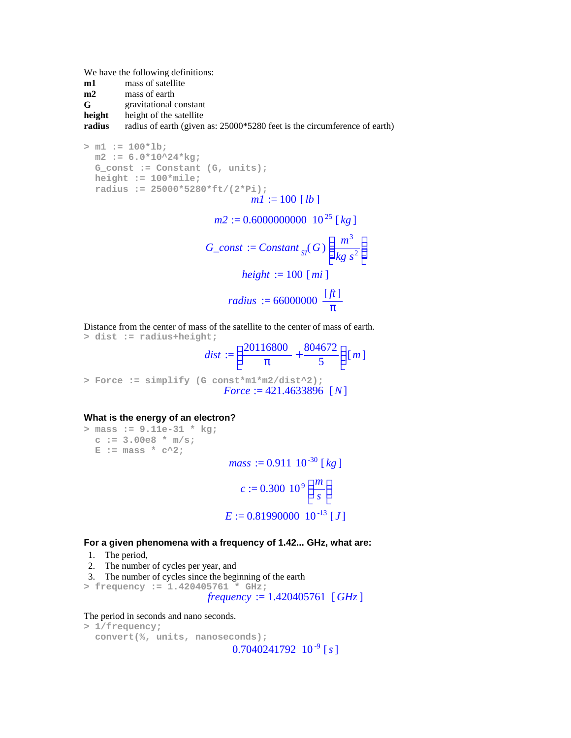We have the following definitions:

- **m1** mass of satellite
- **m2** mass of earth
- **G** gravitational constant

**height** height of the satellite

**radius** radius of earth (given as: 25000\*5280 feet is the circumference of earth)

**> m1 := 100\*lb; m2 := 6.0\*10^24\*kg; G\_const := Constant (G, units); height := 100\*mile; radius := 25000\*5280\*ft/(2\*Pi);**  *m1* := 100 [*lb* ] *m2* := 0.6000000000 10 <sup>25</sup> [ ] *kg G\_const* := *Constant* ( ) *SI G m* 3 *kg s*<sup>2</sup> *height* := 100 [*mi* ] *radius* := 66000000 [*ft* ] π

Distance from the center of mass of the satellite to the center of mass of earth. **> dist := radius+height;** 

 $dist :=$ l I  $\lambda$  $\overline{\phantom{a}}$  $\frac{20116800}{\pi} + \frac{804672}{5}$ π 804672  $\frac{\binom{10}{2}}{5}$   $\lfloor m \rfloor$ **> Force := simplify (G\_const\*m1\*m2/dist^2);**  *Force* := 421.4633896 [*N*]

#### **What is the energy of an electron?**

**> mass := 9.11e-31 \* kg; c := 3.00e8 \* m/s;**   $E := mass * c^2$ ;  $mass := 0.911 \ 10^{-30}$  [kg]  $c := 0.300 10^9$ L  $\overline{\phantom{a}}$ I J I *m s*  $E := 0.81990000 \cdot 10^{-13}$  [J]

#### **For a given phenomena with a frequency of 1.42... GHz, what are:**

- 1. The period,
- 2. The number of cycles per year, and
- 3. The number of cycles since the beginning of the earth
- **> frequency := 1.420405761 \* GHz;**

*frequency* := 1.420405761 [*GHz* ]

The period in seconds and nano seconds.

```
> 1/frequency; 
   convert(%, units, nanoseconds); 
                             0.7040241792 10^{-9} [s]
```